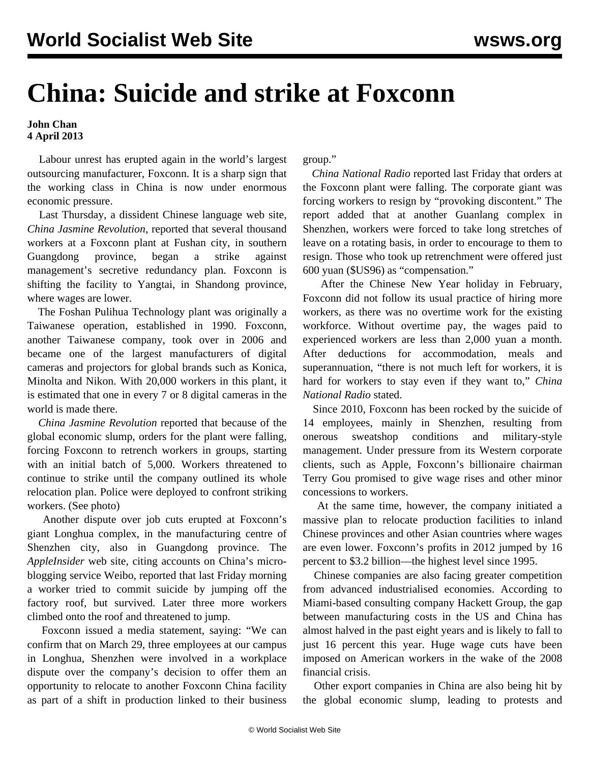## **China: Suicide and strike at Foxconn**

## **John Chan 4 April 2013**

 Labour unrest has erupted again in the world's largest outsourcing manufacturer, Foxconn. It is a sharp sign that the working class in China is now under enormous economic pressure.

 Last Thursday, a dissident Chinese language web site, *China Jasmine Revolution*, reported that several thousand workers at a Foxconn plant at Fushan city, in southern Guangdong province, began a strike against management's secretive redundancy plan. Foxconn is shifting the facility to Yangtai, in Shandong province, where wages are lower.

 The Foshan Pulihua Technology plant was originally a Taiwanese operation, established in 1990. Foxconn, another Taiwanese company, took over in 2006 and became one of the largest manufacturers of digital cameras and projectors for global brands such as Konica, Minolta and Nikon. With 20,000 workers in this plant, it is estimated that one in every 7 or 8 digital cameras in the world is made there.

 *China Jasmine Revolution* reported that because of the global economic slump, orders for the plant were falling, forcing Foxconn to retrench workers in groups, starting with an initial batch of 5,000. Workers threatened to continue to strike until the company outlined its whole relocation plan. Police were deployed to confront striking workers. (See [photo\)](http://www.molihua.org/upload/2013-3-30/1129886.JPG)

 Another dispute over job cuts erupted at Foxconn's giant Longhua complex, in the manufacturing centre of Shenzhen city, also in Guangdong province. The *AppleInsider* web site, citing accounts on China's microblogging service Weibo, reported that last Friday morning a worker tried to commit suicide by jumping off the factory roof, but survived. Later three more workers climbed onto the roof and threatened to jump.

 Foxconn issued a media statement, saying: "We can confirm that on March 29, three employees at our campus in Longhua, Shenzhen were involved in a workplace dispute over the company's decision to offer them an opportunity to relocate to another Foxconn China facility as part of a shift in production linked to their business

group."

 *China National Radio* reported last Friday that orders at the Foxconn plant were falling. The corporate giant was forcing workers to resign by "provoking discontent." The report added that at another Guanlang complex in Shenzhen, workers were forced to take long stretches of leave on a rotating basis, in order to encourage to them to resign. Those who took up retrenchment were offered just 600 yuan (\$US96) as "compensation."

 After the Chinese New Year holiday in February, Foxconn did not follow its usual practice of hiring more workers, as there was no overtime work for the existing workforce. Without overtime pay, the wages paid to experienced workers are less than 2,000 yuan a month. After deductions for accommodation, meals and superannuation, "there is not much left for workers, it is hard for workers to stay even if they want to," *China National Radio* stated.

 Since 2010, Foxconn has been rocked by the suicide of 14 employees, mainly in Shenzhen, resulting from onerous sweatshop conditions and military-style management. Under pressure from its Western corporate clients, such as Apple, Foxconn's billionaire chairman Terry Gou promised to give wage rises and other minor concessions to workers.

 At the same time, however, the company initiated a massive plan to relocate production facilities to inland Chinese provinces and other Asian countries where wages are even lower. Foxconn's profits in 2012 jumped by 16 percent to \$3.2 billion—the highest level since 1995.

 Chinese companies are also facing greater competition from advanced industrialised economies. According to Miami-based consulting company Hackett Group, the gap between manufacturing costs in the US and China has almost halved in the past eight years and is likely to fall to just 16 percent this year. Huge wage cuts have been imposed on American workers in the wake of the 2008 financial crisis.

 Other export companies in China are also being hit by the global economic slump, leading to protests and